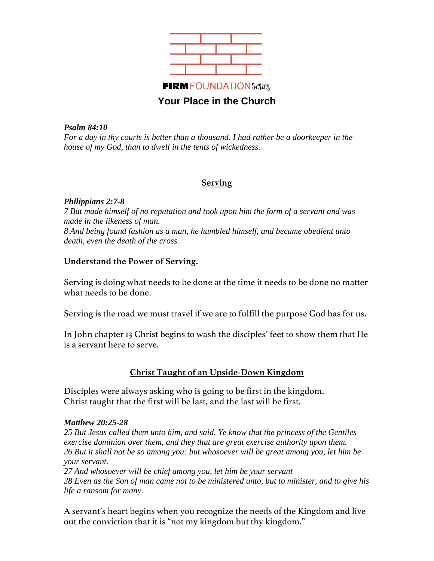

### *Psalm 84:10*

*For a day in thy courts is better than a thousand. I had rather be a doorkeeper in the house of my God, than to dwell in the tents of wickedness.*

## **Serving**

### *Philippians 2:7-8*

*7 But made himself of no reputation and took upon him the form of a servant and was made in the likeness of man. 8 And being found fashion as a man, he humbled himself, and became obedient unto death, even the death of the cross.*

## **Understand the Power of Serving.**

Serving is doing what needs to be done at the time it needs to be done no matter what needs to be done.

Serving is the road we must travel if we are to fulfill the purpose God has for us.

In John chapter 13 Christ begins to wash the disciples' feet to show them that He is a servant here to serve.

# **Christ Taught of an Upside-Down Kingdom**

Disciples were always asking who is going to be first in the kingdom. Christ taught that the first will be last, and the last will be first.

## *Matthew 20:25-28*

*25 But Jesus called them unto him, and said, Ye know that the princess of the Gentiles exercise dominion over them, and they that are great exercise authority upon them. 26 But it shall not be so among you: but whosoever will be great among you, let him be your servant.*

*27 And whosoever will be chief among you, let him be your servant 28 Even as the Son of man came not to be ministered unto, but to minister, and to give his life a ransom for many.*

A servant's heart begins when you recognize the needs of the Kingdom and live out the conviction that it is "not my kingdom but thy kingdom."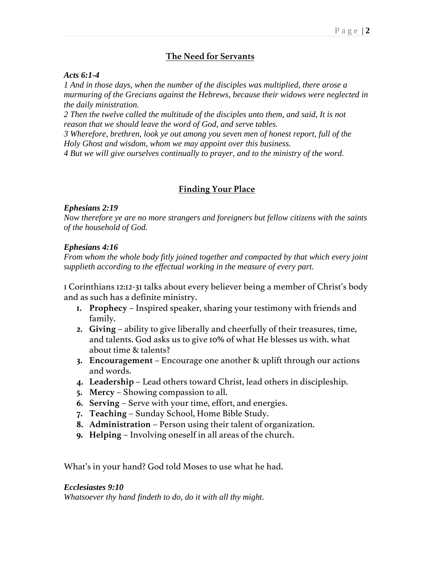## **The Need for Servants**

#### *Acts 6:1-4*

*1 And in those days, when the number of the disciples was multiplied, there arose a murmuring of the Grecians against the Hebrews, because their widows were neglected in the daily ministration.* 

*2 Then the twelve called the multitude of the disciples unto them, and said, It is not reason that we should leave the word of God, and serve tables.* 

*3 Wherefore, brethren, look ye out among you seven men of honest report, full of the Holy Ghost and wisdom, whom we may appoint over this business.* 

*4 But we will give ourselves continually to prayer, and to the ministry of the word.*

### **Finding Your Place**

### *Ephesians 2:19*

*Now therefore ye are no more strangers and foreigners but fellow citizens with the saints of the household of God.*

### *Ephesians 4:16*

*From whom the whole body fitly joined together and compacted by that which every joint supplieth according to the effectual working in the measure of every part.*

1 Corinthians 12:12-31 talks about every believer being a member of Christ's body and as such has a definite ministry.

- **1. Prophecy** Inspired speaker, sharing your testimony with friends and family.
- **2. Giving** ability to give liberally and cheerfully of their treasures, time, and talents. God asks us to give 10% of what He blesses us with. what about time & talents?
- **3. Encouragement** Encourage one another & uplift through our actions and words.
- **4. Leadership** Lead others toward Christ, lead others in discipleship.
- **5. Mercy** Showing compassion to all.
- **6. Serving** Serve with your time, effort, and energies.
- **7. Teaching** Sunday School, Home Bible Study.
- **8. Administration** Person using their talent of organization.
- **9. Helping** Involving oneself in all areas of the church.

What's in your hand? God told Moses to use what he had.

#### *Ecclesiastes 9:10*

*Whatsoever thy hand findeth to do, do it with all thy might.*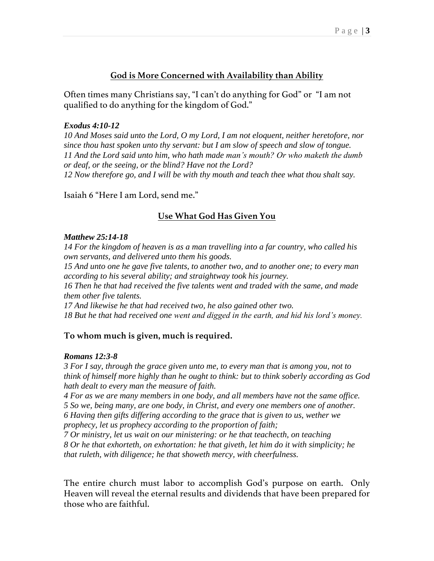# **God is More Concerned with Availability than Ability**

Often times many Christians say, "I can't do anything for God" or "I am not qualified to do anything for the kingdom of God."

## *Exodus 4:10-12*

*10 And Moses said unto the Lord, O my Lord, I am not eloquent, neither heretofore, nor since thou hast spoken unto thy servant: but I am slow of speech and slow of tongue. 11 And the Lord said unto him, who hath made man's mouth? Or who maketh the dumb or deaf, or the seeing, or the blind? Have not the Lord? 12 Now therefore go, and I will be with thy mouth and teach thee what thou shalt say.*

Isaiah 6 "Here I am Lord, send me."

# **Use What God Has Given You**

## *Matthew 25:14-18*

*14 For the kingdom of heaven is as a man travelling into a far country, who called his own servants, and delivered unto them his goods.* 

*15 And unto one he gave five talents, to another two, and to another one; to every man according to his several ability; and straightway took his journey.* 

*16 Then he that had received the five talents went and traded with the same, and made them other five talents.* 

*17 And likewise he that had received two, he also gained other two. 18 But he that had received one went and digged in the earth, and hid his lord's money.*

## **To whom much is given, much is required.**

## *Romans 12:3-8*

*3 For I say, through the grace given unto me, to every man that is among you, not to think of himself more highly than he ought to think: but to think soberly according as God hath dealt to every man the measure of faith.*

*4 For as we are many members in one body, and all members have not the same office. 5 So we, being many, are one body, in Christ, and every one members one of another.*

*6 Having then gifts differing according to the grace that is given to us, wether we prophecy, let us prophecy according to the proportion of faith;*

*7 Or ministry, let us wait on our ministering: or he that teachecth, on teaching 8 Or he that exhorteth, on exhortation: he that giveth, let him do it with simplicity; he that ruleth, with diligence; he that showeth mercy, with cheerfulness.*

The entire church must labor to accomplish God's purpose on earth. Only Heaven will reveal the eternal results and dividends that have been prepared for those who are faithful.